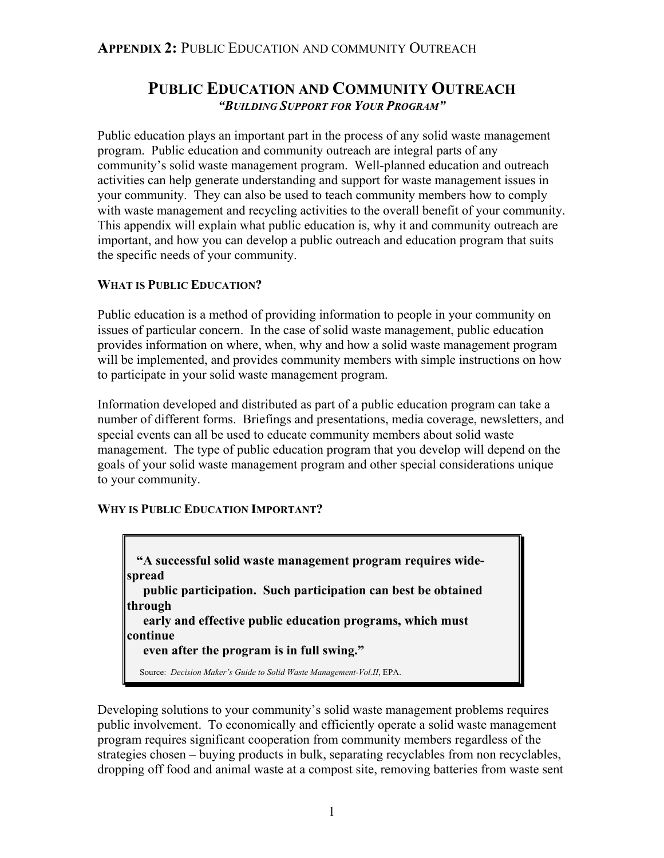# **PUBLIC EDUCATION AND COMMUNITY OUTREACH** *"BUILDING SUPPORT FOR YOUR PROGRAM"*

Public education plays an important part in the process of any solid waste management program. Public education and community outreach are integral parts of any community's solid waste management program. Well-planned education and outreach activities can help generate understanding and support for waste management issues in your community. They can also be used to teach community members how to comply with waste management and recycling activities to the overall benefit of your community. This appendix will explain what public education is, why it and community outreach are important, and how you can develop a public outreach and education program that suits the specific needs of your community.

#### **WHAT IS PUBLIC EDUCATION?**

Public education is a method of providing information to people in your community on issues of particular concern. In the case of solid waste management, public education provides information on where, when, why and how a solid waste management program will be implemented, and provides community members with simple instructions on how to participate in your solid waste management program.

Information developed and distributed as part of a public education program can take a number of different forms. Briefings and presentations, media coverage, newsletters, and special events can all be used to educate community members about solid waste management. The type of public education program that you develop will depend on the goals of your solid waste management program and other special considerations unique to your community.

#### **WHY IS PUBLIC EDUCATION IMPORTANT?**

 **"A successful solid waste management program requires widespread public participation. Such participation can best be obtained through early and effective public education programs, which must continue even after the program is in full swing."** Source: *Decision Maker's Guide to Solid Waste Management-Vol.II*, EPA.

Developing solutions to your community's solid waste management problems requires public involvement. To economically and efficiently operate a solid waste management program requires significant cooperation from community members regardless of the strategies chosen – buying products in bulk, separating recyclables from non recyclables, dropping off food and animal waste at a compost site, removing batteries from waste sent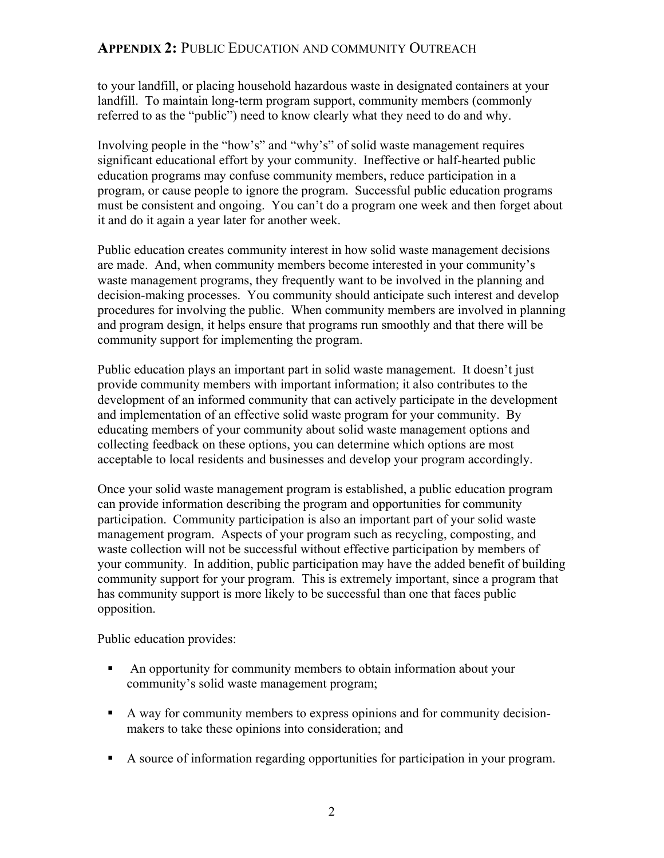to your landfill, or placing household hazardous waste in designated containers at your landfill. To maintain long-term program support, community members (commonly referred to as the "public") need to know clearly what they need to do and why.

Involving people in the "how's" and "why's" of solid waste management requires significant educational effort by your community. Ineffective or half-hearted public education programs may confuse community members, reduce participation in a program, or cause people to ignore the program. Successful public education programs must be consistent and ongoing. You can't do a program one week and then forget about it and do it again a year later for another week.

Public education creates community interest in how solid waste management decisions are made. And, when community members become interested in your community's waste management programs, they frequently want to be involved in the planning and decision-making processes. You community should anticipate such interest and develop procedures for involving the public. When community members are involved in planning and program design, it helps ensure that programs run smoothly and that there will be community support for implementing the program.

Public education plays an important part in solid waste management. It doesn't just provide community members with important information; it also contributes to the development of an informed community that can actively participate in the development and implementation of an effective solid waste program for your community. By educating members of your community about solid waste management options and collecting feedback on these options, you can determine which options are most acceptable to local residents and businesses and develop your program accordingly.

Once your solid waste management program is established, a public education program can provide information describing the program and opportunities for community participation. Community participation is also an important part of your solid waste management program. Aspects of your program such as recycling, composting, and waste collection will not be successful without effective participation by members of your community. In addition, public participation may have the added benefit of building community support for your program. This is extremely important, since a program that has community support is more likely to be successful than one that faces public opposition.

Public education provides:

- An opportunity for community members to obtain information about your community's solid waste management program;
- A way for community members to express opinions and for community decisionmakers to take these opinions into consideration; and
- A source of information regarding opportunities for participation in your program.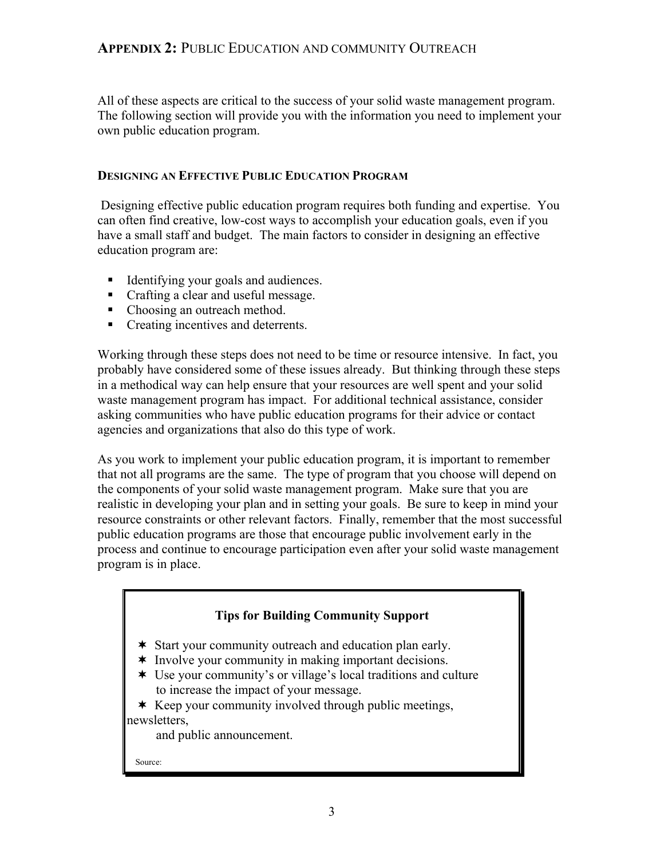All of these aspects are critical to the success of your solid waste management program. The following section will provide you with the information you need to implement your own public education program.

#### **DESIGNING AN EFFECTIVE PUBLIC EDUCATION PROGRAM**

 Designing effective public education program requires both funding and expertise. You can often find creative, low-cost ways to accomplish your education goals, even if you have a small staff and budget. The main factors to consider in designing an effective education program are:

- Identifying your goals and audiences.
- Crafting a clear and useful message.
- Choosing an outreach method.
- Creating incentives and deterrents.

Working through these steps does not need to be time or resource intensive. In fact, you probably have considered some of these issues already. But thinking through these steps in a methodical way can help ensure that your resources are well spent and your solid waste management program has impact. For additional technical assistance, consider asking communities who have public education programs for their advice or contact agencies and organizations that also do this type of work.

As you work to implement your public education program, it is important to remember that not all programs are the same. The type of program that you choose will depend on the components of your solid waste management program. Make sure that you are realistic in developing your plan and in setting your goals. Be sure to keep in mind your resource constraints or other relevant factors. Finally, remember that the most successful public education programs are those that encourage public involvement early in the process and continue to encourage participation even after your solid waste management program is in place.

#### **Tips for Building Community Support**

- \* Start your community outreach and education plan early.
- \* Involve your community in making important decisions.
- Use your community's or village's local traditions and culture to increase the impact of your message.

 $*$  Keep your community involved through public meetings, newsletters,

and public announcement.

Source: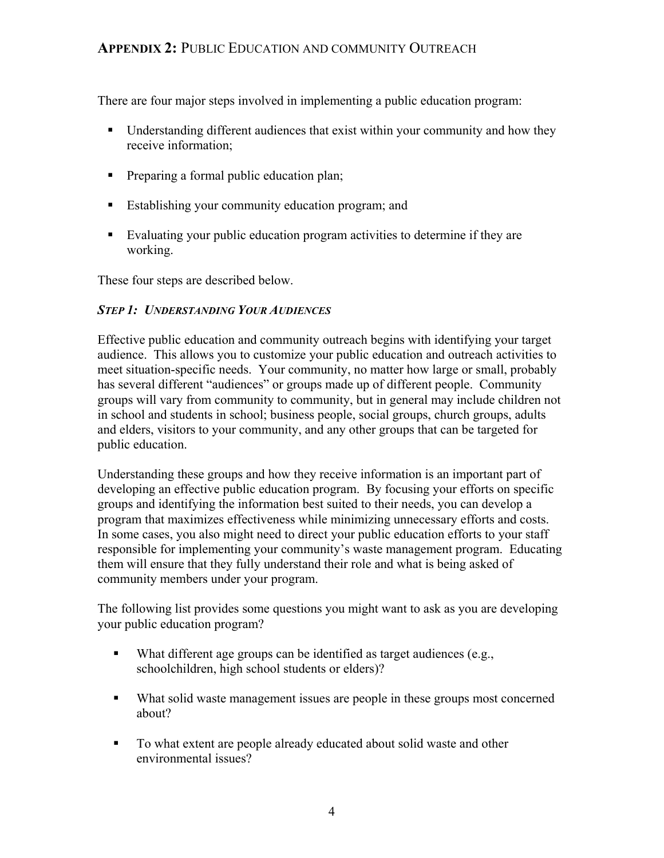There are four major steps involved in implementing a public education program:

- Understanding different audiences that exist within your community and how they receive information;
- **Preparing a formal public education plan;**
- **Establishing your community education program; and**
- Evaluating your public education program activities to determine if they are working.

These four steps are described below.

#### *STEP 1: UNDERSTANDING YOUR AUDIENCES*

Effective public education and community outreach begins with identifying your target audience. This allows you to customize your public education and outreach activities to meet situation-specific needs. Your community, no matter how large or small, probably has several different "audiences" or groups made up of different people. Community groups will vary from community to community, but in general may include children not in school and students in school; business people, social groups, church groups, adults and elders, visitors to your community, and any other groups that can be targeted for public education.

Understanding these groups and how they receive information is an important part of developing an effective public education program. By focusing your efforts on specific groups and identifying the information best suited to their needs, you can develop a program that maximizes effectiveness while minimizing unnecessary efforts and costs. In some cases, you also might need to direct your public education efforts to your staff responsible for implementing your community's waste management program. Educating them will ensure that they fully understand their role and what is being asked of community members under your program.

The following list provides some questions you might want to ask as you are developing your public education program?

- What different age groups can be identified as target audiences (e.g., schoolchildren, high school students or elders)?
- What solid waste management issues are people in these groups most concerned about?
- To what extent are people already educated about solid waste and other environmental issues?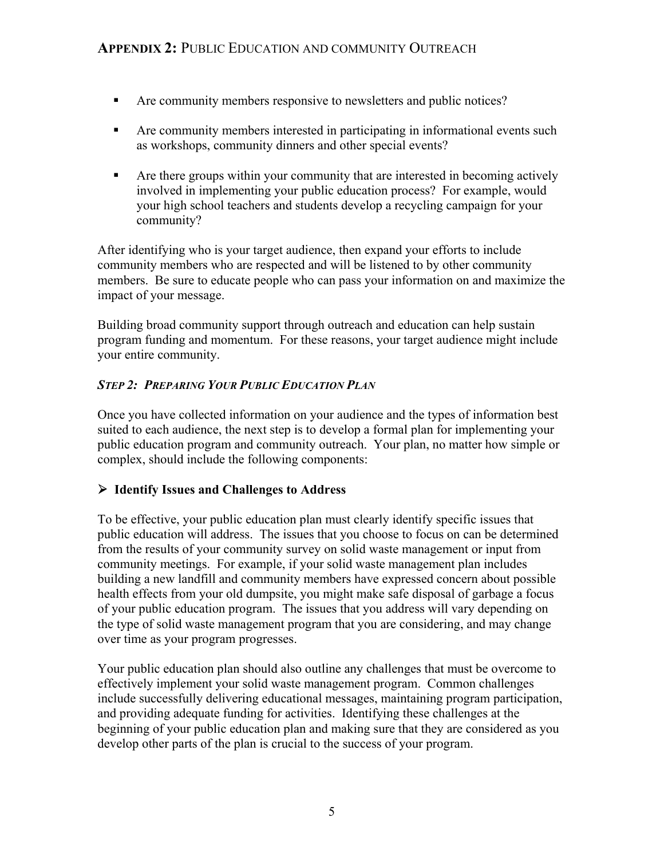- Are community members responsive to newsletters and public notices?
- Are community members interested in participating in informational events such as workshops, community dinners and other special events?
- Are there groups within your community that are interested in becoming actively involved in implementing your public education process? For example, would your high school teachers and students develop a recycling campaign for your community?

After identifying who is your target audience, then expand your efforts to include community members who are respected and will be listened to by other community members. Be sure to educate people who can pass your information on and maximize the impact of your message.

Building broad community support through outreach and education can help sustain program funding and momentum. For these reasons, your target audience might include your entire community.

### *STEP 2: PREPARING YOUR PUBLIC EDUCATION PLAN*

Once you have collected information on your audience and the types of information best suited to each audience, the next step is to develop a formal plan for implementing your public education program and community outreach. Your plan, no matter how simple or complex, should include the following components:

#### ¾ **Identify Issues and Challenges to Address**

To be effective, your public education plan must clearly identify specific issues that public education will address. The issues that you choose to focus on can be determined from the results of your community survey on solid waste management or input from community meetings. For example, if your solid waste management plan includes building a new landfill and community members have expressed concern about possible health effects from your old dumpsite, you might make safe disposal of garbage a focus of your public education program. The issues that you address will vary depending on the type of solid waste management program that you are considering, and may change over time as your program progresses.

Your public education plan should also outline any challenges that must be overcome to effectively implement your solid waste management program. Common challenges include successfully delivering educational messages, maintaining program participation, and providing adequate funding for activities. Identifying these challenges at the beginning of your public education plan and making sure that they are considered as you develop other parts of the plan is crucial to the success of your program.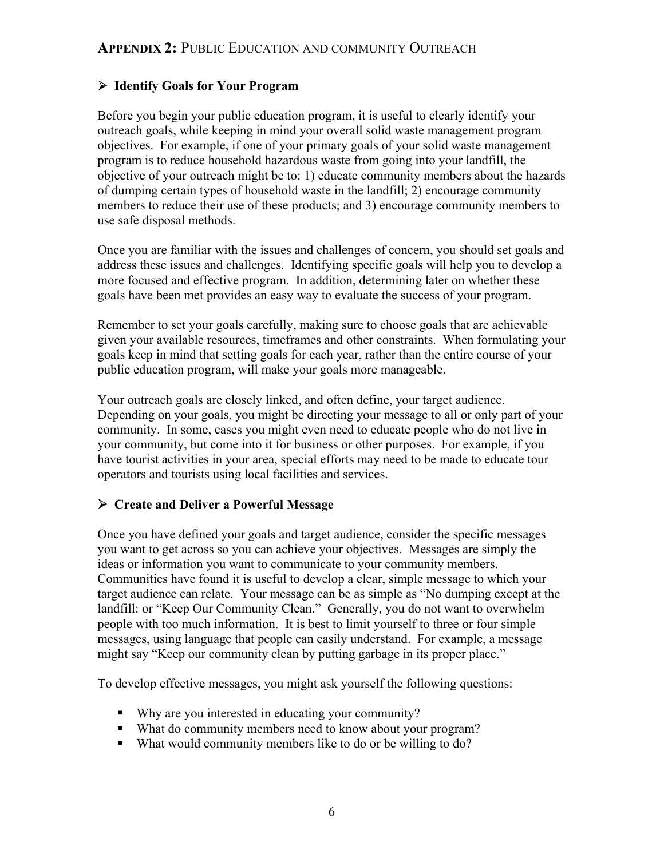### ¾ **Identify Goals for Your Program**

Before you begin your public education program, it is useful to clearly identify your outreach goals, while keeping in mind your overall solid waste management program objectives. For example, if one of your primary goals of your solid waste management program is to reduce household hazardous waste from going into your landfill, the objective of your outreach might be to: 1) educate community members about the hazards of dumping certain types of household waste in the landfill; 2) encourage community members to reduce their use of these products; and 3) encourage community members to use safe disposal methods.

Once you are familiar with the issues and challenges of concern, you should set goals and address these issues and challenges. Identifying specific goals will help you to develop a more focused and effective program. In addition, determining later on whether these goals have been met provides an easy way to evaluate the success of your program.

Remember to set your goals carefully, making sure to choose goals that are achievable given your available resources, timeframes and other constraints. When formulating your goals keep in mind that setting goals for each year, rather than the entire course of your public education program, will make your goals more manageable.

Your outreach goals are closely linked, and often define, your target audience. Depending on your goals, you might be directing your message to all or only part of your community. In some, cases you might even need to educate people who do not live in your community, but come into it for business or other purposes. For example, if you have tourist activities in your area, special efforts may need to be made to educate tour operators and tourists using local facilities and services.

#### ¾ **Create and Deliver a Powerful Message**

Once you have defined your goals and target audience, consider the specific messages you want to get across so you can achieve your objectives. Messages are simply the ideas or information you want to communicate to your community members. Communities have found it is useful to develop a clear, simple message to which your target audience can relate. Your message can be as simple as "No dumping except at the landfill: or "Keep Our Community Clean." Generally, you do not want to overwhelm people with too much information. It is best to limit yourself to three or four simple messages, using language that people can easily understand. For example, a message might say "Keep our community clean by putting garbage in its proper place."

To develop effective messages, you might ask yourself the following questions:

- Why are you interested in educating your community?
- What do community members need to know about your program?
- What would community members like to do or be willing to do?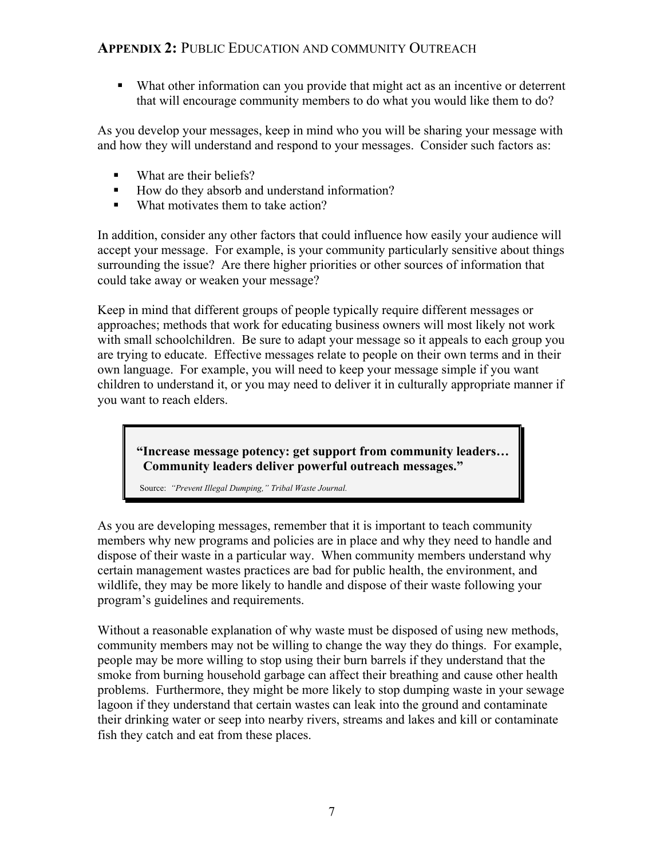What other information can you provide that might act as an incentive or deterrent that will encourage community members to do what you would like them to do?

As you develop your messages, keep in mind who you will be sharing your message with and how they will understand and respond to your messages. Consider such factors as:

- What are their beliefs?
- How do they absorb and understand information?
- What motivates them to take action?

In addition, consider any other factors that could influence how easily your audience will accept your message. For example, is your community particularly sensitive about things surrounding the issue? Are there higher priorities or other sources of information that could take away or weaken your message?

Keep in mind that different groups of people typically require different messages or approaches; methods that work for educating business owners will most likely not work with small schoolchildren. Be sure to adapt your message so it appeals to each group you are trying to educate. Effective messages relate to people on their own terms and in their own language. For example, you will need to keep your message simple if you want children to understand it, or you may need to deliver it in culturally appropriate manner if you want to reach elders.

 **"Increase message potency: get support from community leaders… Community leaders deliver powerful outreach messages."**

Source: *"Prevent Illegal Dumping," Tribal Waste Journal.*

As you are developing messages, remember that it is important to teach community members why new programs and policies are in place and why they need to handle and dispose of their waste in a particular way. When community members understand why certain management wastes practices are bad for public health, the environment, and wildlife, they may be more likely to handle and dispose of their waste following your program's guidelines and requirements.

Without a reasonable explanation of why waste must be disposed of using new methods, community members may not be willing to change the way they do things. For example, people may be more willing to stop using their burn barrels if they understand that the smoke from burning household garbage can affect their breathing and cause other health problems. Furthermore, they might be more likely to stop dumping waste in your sewage lagoon if they understand that certain wastes can leak into the ground and contaminate their drinking water or seep into nearby rivers, streams and lakes and kill or contaminate fish they catch and eat from these places.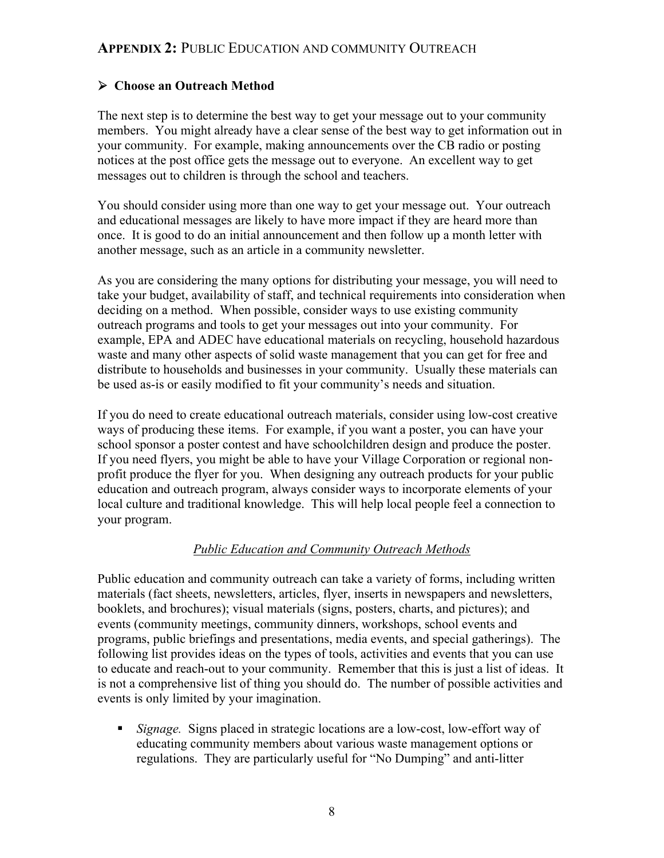### ¾ **Choose an Outreach Method**

The next step is to determine the best way to get your message out to your community members. You might already have a clear sense of the best way to get information out in your community. For example, making announcements over the CB radio or posting notices at the post office gets the message out to everyone. An excellent way to get messages out to children is through the school and teachers.

You should consider using more than one way to get your message out. Your outreach and educational messages are likely to have more impact if they are heard more than once. It is good to do an initial announcement and then follow up a month letter with another message, such as an article in a community newsletter.

As you are considering the many options for distributing your message, you will need to take your budget, availability of staff, and technical requirements into consideration when deciding on a method. When possible, consider ways to use existing community outreach programs and tools to get your messages out into your community. For example, EPA and ADEC have educational materials on recycling, household hazardous waste and many other aspects of solid waste management that you can get for free and distribute to households and businesses in your community. Usually these materials can be used as-is or easily modified to fit your community's needs and situation.

If you do need to create educational outreach materials, consider using low-cost creative ways of producing these items. For example, if you want a poster, you can have your school sponsor a poster contest and have schoolchildren design and produce the poster. If you need flyers, you might be able to have your Village Corporation or regional nonprofit produce the flyer for you. When designing any outreach products for your public education and outreach program, always consider ways to incorporate elements of your local culture and traditional knowledge. This will help local people feel a connection to your program.

#### *Public Education and Community Outreach Methods*

Public education and community outreach can take a variety of forms, including written materials (fact sheets, newsletters, articles, flyer, inserts in newspapers and newsletters, booklets, and brochures); visual materials (signs, posters, charts, and pictures); and events (community meetings, community dinners, workshops, school events and programs, public briefings and presentations, media events, and special gatherings). The following list provides ideas on the types of tools, activities and events that you can use to educate and reach-out to your community. Remember that this is just a list of ideas. It is not a comprehensive list of thing you should do. The number of possible activities and events is only limited by your imagination.

 *Signage.* Signs placed in strategic locations are a low-cost, low-effort way of educating community members about various waste management options or regulations. They are particularly useful for "No Dumping" and anti-litter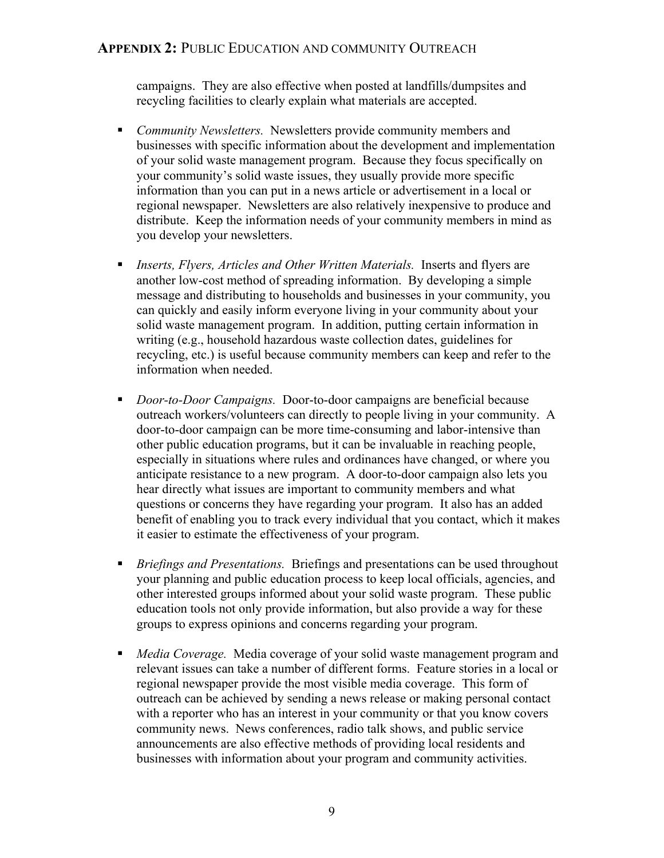campaigns. They are also effective when posted at landfills/dumpsites and recycling facilities to clearly explain what materials are accepted.

- *Community Newsletters.* Newsletters provide community members and businesses with specific information about the development and implementation of your solid waste management program. Because they focus specifically on your community's solid waste issues, they usually provide more specific information than you can put in a news article or advertisement in a local or regional newspaper. Newsletters are also relatively inexpensive to produce and distribute. Keep the information needs of your community members in mind as you develop your newsletters.
- *Inserts, Flyers, Articles and Other Written Materials.* Inserts and flyers are another low-cost method of spreading information. By developing a simple message and distributing to households and businesses in your community, you can quickly and easily inform everyone living in your community about your solid waste management program. In addition, putting certain information in writing (e.g., household hazardous waste collection dates, guidelines for recycling, etc.) is useful because community members can keep and refer to the information when needed.
- *Door-to-Door Campaigns.* Door-to-door campaigns are beneficial because outreach workers/volunteers can directly to people living in your community. A door-to-door campaign can be more time-consuming and labor-intensive than other public education programs, but it can be invaluable in reaching people, especially in situations where rules and ordinances have changed, or where you anticipate resistance to a new program. A door-to-door campaign also lets you hear directly what issues are important to community members and what questions or concerns they have regarding your program. It also has an added benefit of enabling you to track every individual that you contact, which it makes it easier to estimate the effectiveness of your program.
- *Briefings and Presentations.* Briefings and presentations can be used throughout your planning and public education process to keep local officials, agencies, and other interested groups informed about your solid waste program. These public education tools not only provide information, but also provide a way for these groups to express opinions and concerns regarding your program.
- *Media Coverage.* Media coverage of your solid waste management program and relevant issues can take a number of different forms. Feature stories in a local or regional newspaper provide the most visible media coverage. This form of outreach can be achieved by sending a news release or making personal contact with a reporter who has an interest in your community or that you know covers community news. News conferences, radio talk shows, and public service announcements are also effective methods of providing local residents and businesses with information about your program and community activities.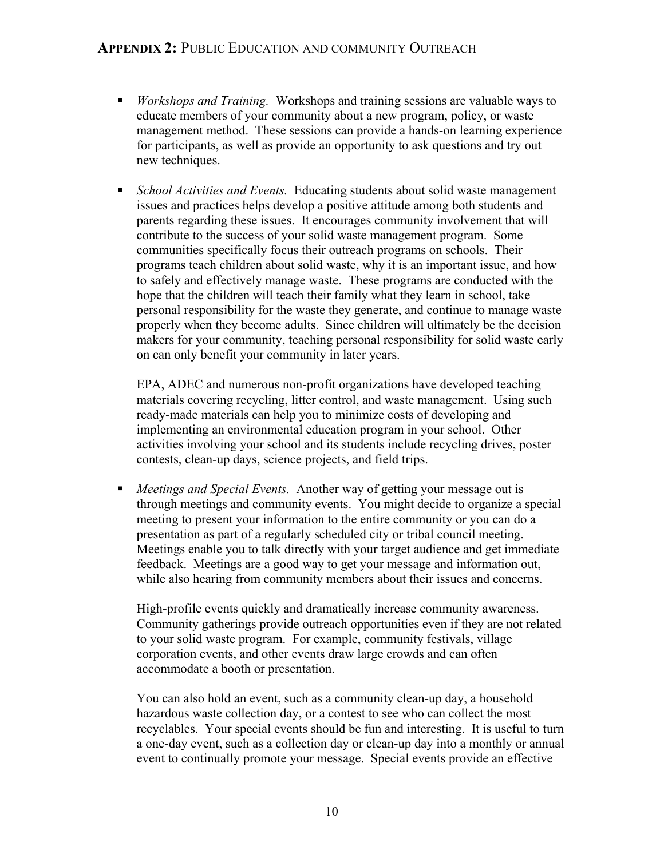- *Workshops and Training.* Workshops and training sessions are valuable ways to educate members of your community about a new program, policy, or waste management method. These sessions can provide a hands-on learning experience for participants, as well as provide an opportunity to ask questions and try out new techniques.
- *School Activities and Events.* Educating students about solid waste management issues and practices helps develop a positive attitude among both students and parents regarding these issues. It encourages community involvement that will contribute to the success of your solid waste management program. Some communities specifically focus their outreach programs on schools. Their programs teach children about solid waste, why it is an important issue, and how to safely and effectively manage waste. These programs are conducted with the hope that the children will teach their family what they learn in school, take personal responsibility for the waste they generate, and continue to manage waste properly when they become adults. Since children will ultimately be the decision makers for your community, teaching personal responsibility for solid waste early on can only benefit your community in later years.

 EPA, ADEC and numerous non-profit organizations have developed teaching materials covering recycling, litter control, and waste management. Using such ready-made materials can help you to minimize costs of developing and implementing an environmental education program in your school. Other activities involving your school and its students include recycling drives, poster contests, clean-up days, science projects, and field trips.

 *Meetings and Special Events.* Another way of getting your message out is through meetings and community events. You might decide to organize a special meeting to present your information to the entire community or you can do a presentation as part of a regularly scheduled city or tribal council meeting. Meetings enable you to talk directly with your target audience and get immediate feedback. Meetings are a good way to get your message and information out, while also hearing from community members about their issues and concerns.

High-profile events quickly and dramatically increase community awareness. Community gatherings provide outreach opportunities even if they are not related to your solid waste program. For example, community festivals, village corporation events, and other events draw large crowds and can often accommodate a booth or presentation.

 You can also hold an event, such as a community clean-up day, a household hazardous waste collection day, or a contest to see who can collect the most recyclables. Your special events should be fun and interesting. It is useful to turn a one-day event, such as a collection day or clean-up day into a monthly or annual event to continually promote your message. Special events provide an effective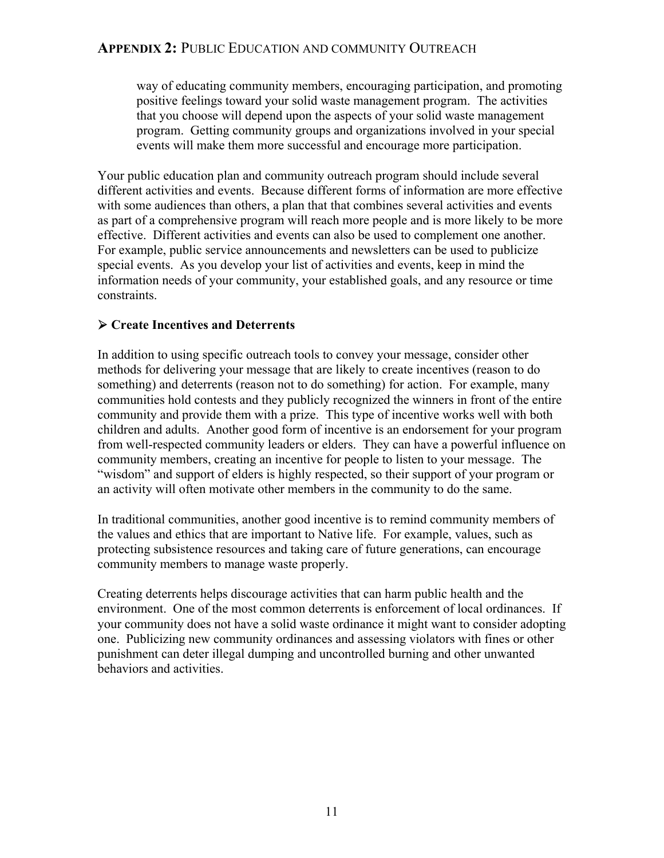way of educating community members, encouraging participation, and promoting positive feelings toward your solid waste management program. The activities that you choose will depend upon the aspects of your solid waste management program. Getting community groups and organizations involved in your special events will make them more successful and encourage more participation.

Your public education plan and community outreach program should include several different activities and events. Because different forms of information are more effective with some audiences than others, a plan that that combines several activities and events as part of a comprehensive program will reach more people and is more likely to be more effective. Different activities and events can also be used to complement one another. For example, public service announcements and newsletters can be used to publicize special events. As you develop your list of activities and events, keep in mind the information needs of your community, your established goals, and any resource or time constraints.

# ¾ **Create Incentives and Deterrents**

In addition to using specific outreach tools to convey your message, consider other methods for delivering your message that are likely to create incentives (reason to do something) and deterrents (reason not to do something) for action. For example, many communities hold contests and they publicly recognized the winners in front of the entire community and provide them with a prize. This type of incentive works well with both children and adults. Another good form of incentive is an endorsement for your program from well-respected community leaders or elders. They can have a powerful influence on community members, creating an incentive for people to listen to your message. The "wisdom" and support of elders is highly respected, so their support of your program or an activity will often motivate other members in the community to do the same.

In traditional communities, another good incentive is to remind community members of the values and ethics that are important to Native life. For example, values, such as protecting subsistence resources and taking care of future generations, can encourage community members to manage waste properly.

Creating deterrents helps discourage activities that can harm public health and the environment. One of the most common deterrents is enforcement of local ordinances. If your community does not have a solid waste ordinance it might want to consider adopting one. Publicizing new community ordinances and assessing violators with fines or other punishment can deter illegal dumping and uncontrolled burning and other unwanted behaviors and activities.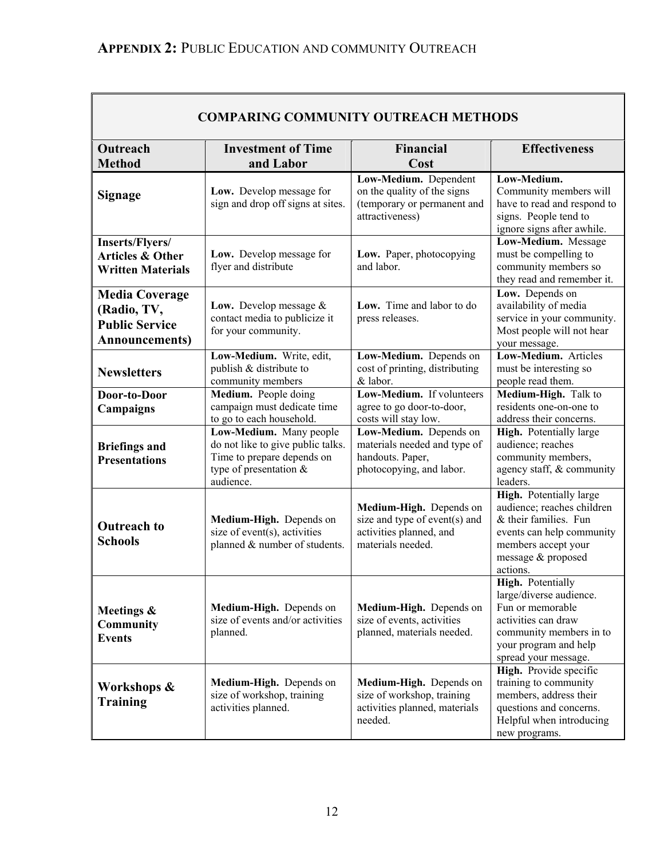$\blacksquare$ 

| <b>COMPARING COMMUNITY OUTREACH METHODS</b>                                             |                                                                                                                                     |                                                                                                          |                                                                                                                                                                      |
|-----------------------------------------------------------------------------------------|-------------------------------------------------------------------------------------------------------------------------------------|----------------------------------------------------------------------------------------------------------|----------------------------------------------------------------------------------------------------------------------------------------------------------------------|
| Outreach<br><b>Method</b>                                                               | <b>Investment of Time</b><br>and Labor                                                                                              | <b>Financial</b><br>Cost                                                                                 | <b>Effectiveness</b>                                                                                                                                                 |
| <b>Signage</b>                                                                          | Low. Develop message for<br>sign and drop off signs at sites.                                                                       | Low-Medium. Dependent<br>on the quality of the signs<br>(temporary or permanent and<br>attractiveness)   | Low-Medium.<br>Community members will<br>have to read and respond to<br>signs. People tend to<br>ignore signs after awhile.                                          |
| Inserts/Flyers/<br><b>Articles &amp; Other</b><br><b>Written Materials</b>              | Low. Develop message for<br>flyer and distribute                                                                                    | Low. Paper, photocopying<br>and labor.                                                                   | Low-Medium. Message<br>must be compelling to<br>community members so<br>they read and remember it.                                                                   |
| <b>Media Coverage</b><br>(Radio, TV,<br><b>Public Service</b><br><b>Announcements</b> ) | Low. Develop message $&$<br>contact media to publicize it<br>for your community.                                                    | Low. Time and labor to do<br>press releases.                                                             | Low. Depends on<br>availability of media<br>service in your community.<br>Most people will not hear<br>your message.                                                 |
| <b>Newsletters</b>                                                                      | Low-Medium. Write, edit,<br>publish & distribute to<br>community members                                                            | Low-Medium. Depends on<br>cost of printing, distributing<br>& labor.                                     | Low-Medium. Articles<br>must be interesting so<br>people read them.                                                                                                  |
| Door-to-Door<br>Campaigns                                                               | Medium. People doing<br>campaign must dedicate time<br>to go to each household.                                                     | Low-Medium. If volunteers<br>agree to go door-to-door,<br>costs will stay low.                           | Medium-High. Talk to<br>residents one-on-one to<br>address their concerns.                                                                                           |
| <b>Briefings and</b><br><b>Presentations</b>                                            | Low-Medium. Many people<br>do not like to give public talks.<br>Time to prepare depends on<br>type of presentation $&$<br>audience. | Low-Medium. Depends on<br>materials needed and type of<br>handouts. Paper,<br>photocopying, and labor.   | High. Potentially large<br>audience; reaches<br>community members,<br>agency staff, & community<br>leaders.                                                          |
| <b>Outreach to</b><br><b>Schools</b>                                                    | Medium-High. Depends on<br>size of event(s), activities<br>planned & number of students.                                            | Medium-High. Depends on<br>size and type of event(s) and<br>activities planned, and<br>materials needed. | High. Potentially large<br>audience; reaches children<br>& their families. Fun<br>events can help community<br>members accept your<br>message & proposed<br>actions. |
| Meetings &<br><b>Community</b><br><b>Events</b>                                         | Medium-High. Depends on<br>size of events and/or activities<br>planned.                                                             | Medium-High. Depends on<br>size of events, activities<br>planned, materials needed.                      | High. Potentially<br>large/diverse audience.<br>Fun or memorable<br>activities can draw<br>community members in to<br>your program and help<br>spread your message.  |
| Workshops &<br>Training                                                                 | Medium-High. Depends on<br>size of workshop, training<br>activities planned.                                                        | Medium-High. Depends on<br>size of workshop, training<br>activities planned, materials<br>needed.        | High. Provide specific<br>training to community<br>members, address their<br>questions and concerns.<br>Helpful when introducing<br>new programs.                    |

 $\overline{\mathbf{1}}$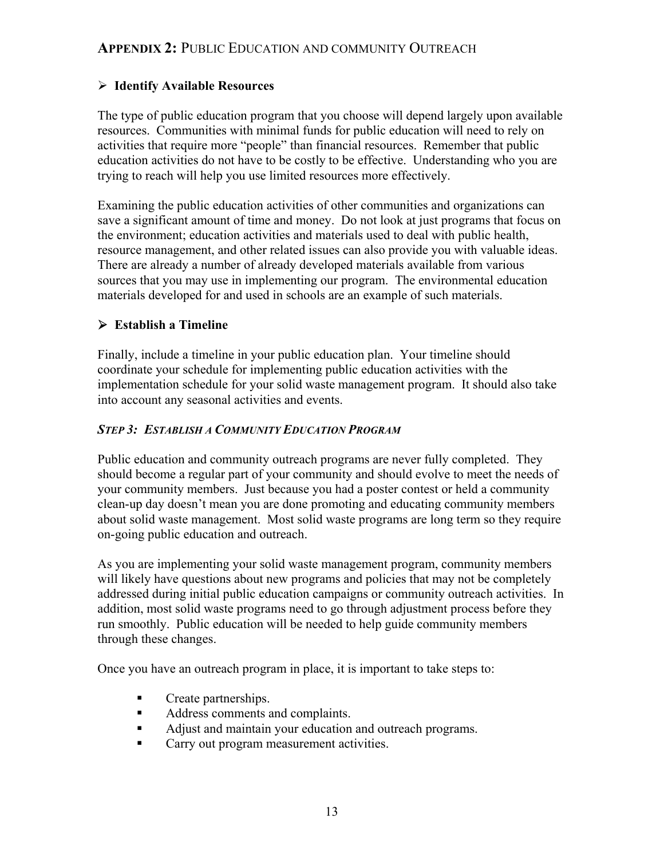#### ¾ **Identify Available Resources**

The type of public education program that you choose will depend largely upon available resources. Communities with minimal funds for public education will need to rely on activities that require more "people" than financial resources. Remember that public education activities do not have to be costly to be effective. Understanding who you are trying to reach will help you use limited resources more effectively.

Examining the public education activities of other communities and organizations can save a significant amount of time and money. Do not look at just programs that focus on the environment; education activities and materials used to deal with public health, resource management, and other related issues can also provide you with valuable ideas. There are already a number of already developed materials available from various sources that you may use in implementing our program. The environmental education materials developed for and used in schools are an example of such materials.

## ¾ **Establish a Timeline**

Finally, include a timeline in your public education plan. Your timeline should coordinate your schedule for implementing public education activities with the implementation schedule for your solid waste management program. It should also take into account any seasonal activities and events.

#### *STEP 3: ESTABLISH A COMMUNITY EDUCATION PROGRAM*

Public education and community outreach programs are never fully completed. They should become a regular part of your community and should evolve to meet the needs of your community members. Just because you had a poster contest or held a community clean-up day doesn't mean you are done promoting and educating community members about solid waste management. Most solid waste programs are long term so they require on-going public education and outreach.

As you are implementing your solid waste management program, community members will likely have questions about new programs and policies that may not be completely addressed during initial public education campaigns or community outreach activities. In addition, most solid waste programs need to go through adjustment process before they run smoothly. Public education will be needed to help guide community members through these changes.

Once you have an outreach program in place, it is important to take steps to:

- **Create partnerships.**
- Address comments and complaints.
- Adjust and maintain your education and outreach programs.
- **Carry out program measurement activities.**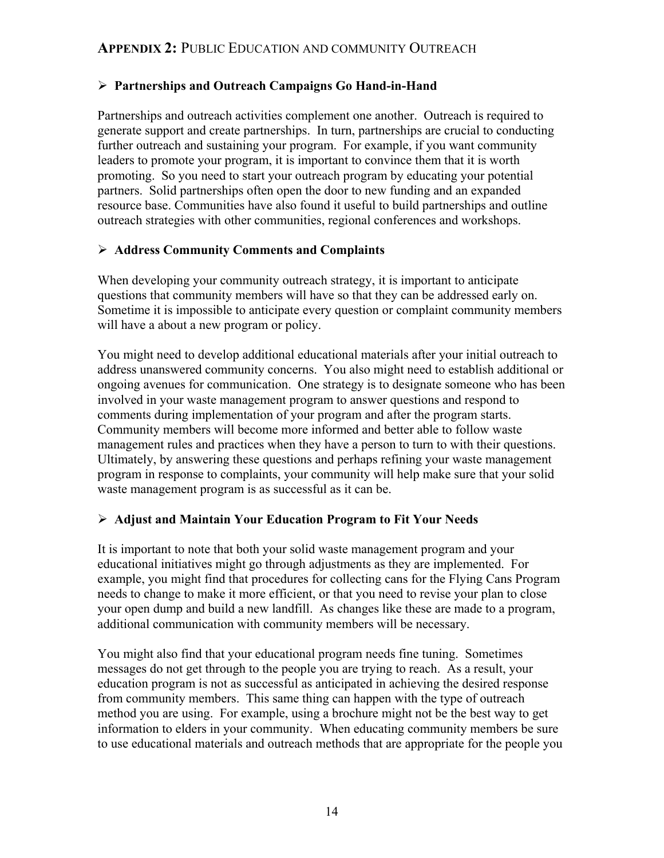#### ¾ **Partnerships and Outreach Campaigns Go Hand-in-Hand**

Partnerships and outreach activities complement one another. Outreach is required to generate support and create partnerships. In turn, partnerships are crucial to conducting further outreach and sustaining your program. For example, if you want community leaders to promote your program, it is important to convince them that it is worth promoting. So you need to start your outreach program by educating your potential partners. Solid partnerships often open the door to new funding and an expanded resource base. Communities have also found it useful to build partnerships and outline outreach strategies with other communities, regional conferences and workshops.

### ¾ **Address Community Comments and Complaints**

When developing your community outreach strategy, it is important to anticipate questions that community members will have so that they can be addressed early on. Sometime it is impossible to anticipate every question or complaint community members will have a about a new program or policy.

You might need to develop additional educational materials after your initial outreach to address unanswered community concerns. You also might need to establish additional or ongoing avenues for communication. One strategy is to designate someone who has been involved in your waste management program to answer questions and respond to comments during implementation of your program and after the program starts. Community members will become more informed and better able to follow waste management rules and practices when they have a person to turn to with their questions. Ultimately, by answering these questions and perhaps refining your waste management program in response to complaints, your community will help make sure that your solid waste management program is as successful as it can be.

#### ¾ **Adjust and Maintain Your Education Program to Fit Your Needs**

It is important to note that both your solid waste management program and your educational initiatives might go through adjustments as they are implemented. For example, you might find that procedures for collecting cans for the Flying Cans Program needs to change to make it more efficient, or that you need to revise your plan to close your open dump and build a new landfill. As changes like these are made to a program, additional communication with community members will be necessary.

You might also find that your educational program needs fine tuning. Sometimes messages do not get through to the people you are trying to reach. As a result, your education program is not as successful as anticipated in achieving the desired response from community members. This same thing can happen with the type of outreach method you are using. For example, using a brochure might not be the best way to get information to elders in your community. When educating community members be sure to use educational materials and outreach methods that are appropriate for the people you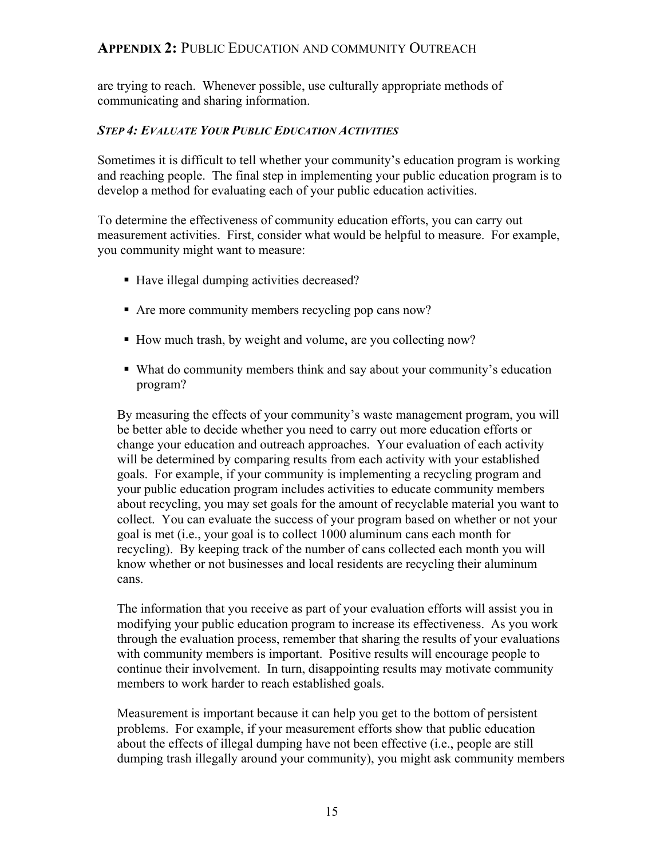are trying to reach. Whenever possible, use culturally appropriate methods of communicating and sharing information.

#### *STEP 4: EVALUATE YOUR PUBLIC EDUCATION ACTIVITIES*

Sometimes it is difficult to tell whether your community's education program is working and reaching people. The final step in implementing your public education program is to develop a method for evaluating each of your public education activities.

To determine the effectiveness of community education efforts, you can carry out measurement activities. First, consider what would be helpful to measure. For example, you community might want to measure:

- Have illegal dumping activities decreased?
- Are more community members recycling pop cans now?
- How much trash, by weight and volume, are you collecting now?
- What do community members think and say about your community's education program?

By measuring the effects of your community's waste management program, you will be better able to decide whether you need to carry out more education efforts or change your education and outreach approaches. Your evaluation of each activity will be determined by comparing results from each activity with your established goals. For example, if your community is implementing a recycling program and your public education program includes activities to educate community members about recycling, you may set goals for the amount of recyclable material you want to collect. You can evaluate the success of your program based on whether or not your goal is met (i.e., your goal is to collect 1000 aluminum cans each month for recycling). By keeping track of the number of cans collected each month you will know whether or not businesses and local residents are recycling their aluminum cans.

The information that you receive as part of your evaluation efforts will assist you in modifying your public education program to increase its effectiveness. As you work through the evaluation process, remember that sharing the results of your evaluations with community members is important. Positive results will encourage people to continue their involvement. In turn, disappointing results may motivate community members to work harder to reach established goals.

Measurement is important because it can help you get to the bottom of persistent problems. For example, if your measurement efforts show that public education about the effects of illegal dumping have not been effective (i.e., people are still dumping trash illegally around your community), you might ask community members